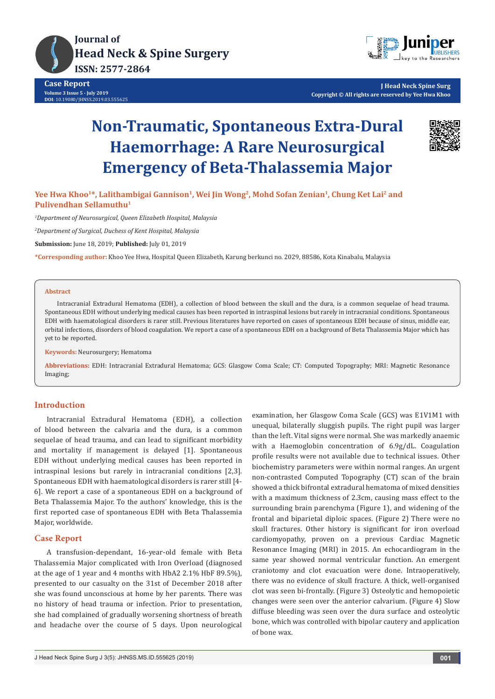



**J Head Neck Spine Surg Copyright © All rights are reserved by Yee Hwa Khoo**

# **Non-Traumatic, Spontaneous Extra-Dural Haemorrhage: A Rare Neurosurgical Emergency of Beta-Thalassemia Major**



Yee Hwa Khoo<sup>1\*</sup>, Lalithambigai Gannison<sup>1</sup>, Wei Jin Wong<sup>2</sup>, Mohd Sofan Zenian<sup>1</sup>, Chung Ket Lai<sup>2</sup> and **Pulivendhan Sellamuthu1**

*1 Department of Neurosurgical, Queen Elizabeth Hospital, Malaysia*

*2 Department of Surgical, Duchess of Kent Hospital, Malaysia*

**Submission:** June 18, 2019; **Published:** July 01, 2019

**\*Corresponding author:** Khoo Yee Hwa, Hospital Queen Elizabeth, Karung berkunci no. 2029, 88586, Kota Kinabalu, Malaysia

#### **Abstract**

Intracranial Extradural Hematoma (EDH), a collection of blood between the skull and the dura, is a common sequelae of head trauma. Spontaneous EDH without underlying medical causes has been reported in intraspinal lesions but rarely in intracranial conditions. Spontaneous EDH with haematological disorders is rarer still. Previous literatures have reported on cases of spontaneous EDH because of sinus, middle ear, orbital infections, disorders of blood coagulation. We report a case of a spontaneous EDH on a background of Beta Thalassemia Major which has yet to be reported.

**Keywords:** Neurosurgery; Hematoma

**Abbreviations:** EDH: Intracranial Extradural Hematoma; GCS: Glasgow Coma Scale; CT: Computed Topography; MRI: Magnetic Resonance Imaging;

## **Introduction**

Intracranial Extradural Hematoma (EDH), a collection of blood between the calvaria and the dura, is a common sequelae of head trauma, and can lead to significant morbidity and mortality if management is delayed [1]. Spontaneous EDH without underlying medical causes has been reported in intraspinal lesions but rarely in intracranial conditions [2,3]. Spontaneous EDH with haematological disorders is rarer still [4- 6]. We report a case of a spontaneous EDH on a background of Beta Thalassemia Major. To the authors' knowledge, this is the first reported case of spontaneous EDH with Beta Thalassemia Major, worldwide.

## **Case Report**

A transfusion-dependant, 16-year-old female with Beta Thalassemia Major complicated with Iron Overload (diagnosed at the age of 1 year and 4 months with HbA2 2.1% HbF 89.5%), presented to our casualty on the 31st of December 2018 after she was found unconscious at home by her parents. There was no history of head trauma or infection. Prior to presentation, she had complained of gradually worsening shortness of breath and headache over the course of 5 days. Upon neurological

examination, her Glasgow Coma Scale (GCS) was E1V1M1 with unequal, bilaterally sluggish pupils. The right pupil was larger than the left. Vital signs were normal. She was markedly anaemic with a Haemoglobin concentration of 6.9g/dL. Coagulation profile results were not available due to technical issues. Other biochemistry parameters were within normal ranges. An urgent non-contrasted Computed Topography (CT) scan of the brain showed a thick bifrontal extradural hematoma of mixed densities with a maximum thickness of 2.3cm, causing mass effect to the surrounding brain parenchyma (Figure 1), and widening of the frontal and biparietal diploic spaces. (Figure 2) There were no skull fractures. Other history is significant for iron overload cardiomyopathy, proven on a previous Cardiac Magnetic Resonance Imaging (MRI) in 2015. An echocardiogram in the same year showed normal ventricular function. An emergent craniotomy and clot evacuation were done. Intraoperatively, there was no evidence of skull fracture. A thick, well-organised clot was seen bi-frontally. (Figure 3) Osteolytic and hemopoietic changes were seen over the anterior calvarium. (Figure 4) Slow diffuse bleeding was seen over the dura surface and osteolytic bone, which was controlled with bipolar cautery and application of bone wax.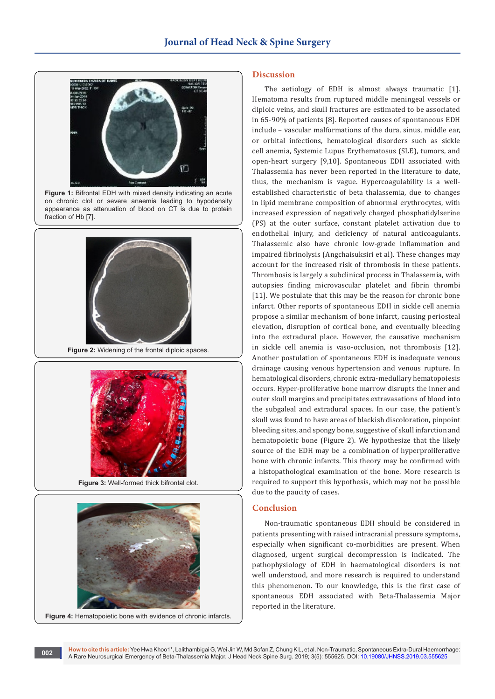

**Figure 1:** Bifrontal EDH with mixed density indicating an acute on chronic clot or severe anaemia leading to hypodensity appearance as attenuation of blood on CT is due to protein fraction of Hb [7].



**Figure 2:** Widening of the frontal diploic spaces.



**Figure 3:** Well-formed thick bifrontal clot.



## **Figure 4:** Hematopoietic bone with evidence of chronic infarcts.

#### **Discussion**

The aetiology of EDH is almost always traumatic [1]. Hematoma results from ruptured middle meningeal vessels or diploic veins, and skull fractures are estimated to be associated in 65-90% of patients [8]. Reported causes of spontaneous EDH include – vascular malformations of the dura, sinus, middle ear, or orbital infections, hematological disorders such as sickle cell anemia, Systemic Lupus Erythematosus (SLE), tumors, and open-heart surgery [9,10]. Spontaneous EDH associated with Thalassemia has never been reported in the literature to date, thus, the mechanism is vague. Hypercoagulability is a wellestablished characteristic of beta thalassemia, due to changes in lipid membrane composition of abnormal erythrocytes, with increased expression of negatively charged phosphatidylserine (PS) at the outer surface, constant platelet activation due to endothelial injury, and deficiency of natural anticoagulants. Thalassemic also have chronic low-grade inflammation and impaired fibrinolysis (Angchaisuksiri et al). These changes may account for the increased risk of thrombosis in these patients. Thrombosis is largely a subclinical process in Thalassemia, with autopsies finding microvascular platelet and fibrin thrombi [11]. We postulate that this may be the reason for chronic bone infarct. Other reports of spontaneous EDH in sickle cell anemia propose a similar mechanism of bone infarct, causing periosteal elevation, disruption of cortical bone, and eventually bleeding into the extradural place. However, the causative mechanism in sickle cell anemia is vaso-occlusion, not thrombosis [12]. Another postulation of spontaneous EDH is inadequate venous drainage causing venous hypertension and venous rupture. In hematological disorders, chronic extra-medullary hematopoiesis occurs. Hyper-proliferative bone marrow disrupts the inner and outer skull margins and precipitates extravasations of blood into the subgaleal and extradural spaces. In our case, the patient's skull was found to have areas of blackish discoloration, pinpoint bleeding sites, and spongy bone, suggestive of skull infarction and hematopoietic bone (Figure 2). We hypothesize that the likely source of the EDH may be a combination of hyperproliferative bone with chronic infarcts. This theory may be confirmed with a histopathological examination of the bone. More research is required to support this hypothesis, which may not be possible due to the paucity of cases.

# **Conclusion**

Non-traumatic spontaneous EDH should be considered in patients presenting with raised intracranial pressure symptoms, especially when significant co-morbidities are present. When diagnosed, urgent surgical decompression is indicated. The pathophysiology of EDH in haematological disorders is not well understood, and more research is required to understand this phenomenon. To our knowledge, this is the first case of spontaneous EDH associated with Beta-Thalassemia Major reported in the literature.